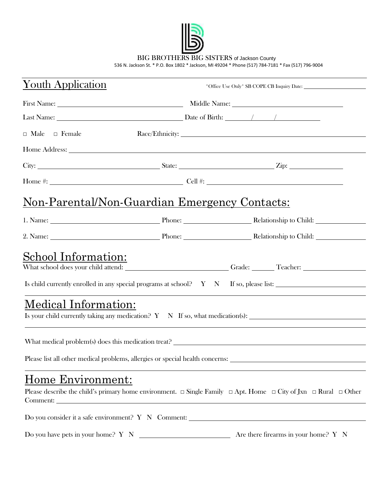

BIG BROTHERS BIG SISTERS of Jackson County

536 N. Jackson St. \* P.O. Box 1802 \* Jackson, MI 49204 \* Phone (517) 784-7181 \* Fax (517) 796-9004

| <u>Youth Application</u>                              |  |                                                                                                                                                                                                                                      |  |  |
|-------------------------------------------------------|--|--------------------------------------------------------------------------------------------------------------------------------------------------------------------------------------------------------------------------------------|--|--|
|                                                       |  | First Name: Middle Name: Middle Name:                                                                                                                                                                                                |  |  |
|                                                       |  | Last Name: <u>Name: Alexander Contract Contract Contract Contract Contract Contract Contract Contract Contract Contract Contract Contract Contract Contract Contract Contract Contract Contract Contract Contract Contract Contr</u> |  |  |
| $\Box$ Male $\Box$ Female                             |  |                                                                                                                                                                                                                                      |  |  |
|                                                       |  | Home Address: Note and the state of the state of the state of the state of the state of the state of the state of the state of the state of the state of the state of the state of the state of the state of the state of the        |  |  |
|                                                       |  |                                                                                                                                                                                                                                      |  |  |
|                                                       |  |                                                                                                                                                                                                                                      |  |  |
| <u> Non-Parental/Non-Guardian Emergency Contacts:</u> |  |                                                                                                                                                                                                                                      |  |  |
|                                                       |  |                                                                                                                                                                                                                                      |  |  |
|                                                       |  |                                                                                                                                                                                                                                      |  |  |
| School Information:                                   |  |                                                                                                                                                                                                                                      |  |  |
|                                                       |  | What school does your child attend: _____________________________Grade: _______Teacher: ______________________                                                                                                                       |  |  |
|                                                       |  | Is child currently enrolled in any special programs at school? Y N If so, please list:                                                                                                                                               |  |  |
| Medical Information:                                  |  |                                                                                                                                                                                                                                      |  |  |
|                                                       |  |                                                                                                                                                                                                                                      |  |  |
|                                                       |  | Please list all other medical problems, allergies or special health concerns: ________________________________                                                                                                                       |  |  |
| Home Environment:<br>Comment:                         |  | Please describe the child's primary home environment. $\Box$ Single Family $\Box$ Apt. Home $\Box$ City of Jxn $\Box$ Rural $\Box$ Other                                                                                             |  |  |
|                                                       |  | Do you consider it a safe environment? Y N Comment: _____________________________                                                                                                                                                    |  |  |

Do you have pets in your home? Y N Are there firearms in your home? Y N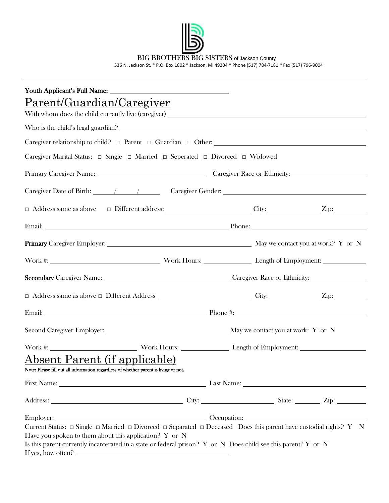

BIG BROTHERS BIG SISTERS of Jackson County

536 N. Jackson St. \* P.O. Box 1802 \* Jackson, MI 49204 \* Phone (517) 784-7181 \* Fax (517) 796-9004

| Parent/Guardian/Caregiver                                                                                                                                                                                                                                                                                                                      |  |  |  |  |  |
|------------------------------------------------------------------------------------------------------------------------------------------------------------------------------------------------------------------------------------------------------------------------------------------------------------------------------------------------|--|--|--|--|--|
|                                                                                                                                                                                                                                                                                                                                                |  |  |  |  |  |
|                                                                                                                                                                                                                                                                                                                                                |  |  |  |  |  |
| Caregiver relationship to child? $\Box$ Parent $\Box$ Guardian $\Box$ Other:                                                                                                                                                                                                                                                                   |  |  |  |  |  |
| Caregiver Marital Status: $\Box$ Single $\Box$ Married $\Box$ Seperated $\Box$ Divorced $\Box$ Widowed                                                                                                                                                                                                                                         |  |  |  |  |  |
|                                                                                                                                                                                                                                                                                                                                                |  |  |  |  |  |
|                                                                                                                                                                                                                                                                                                                                                |  |  |  |  |  |
|                                                                                                                                                                                                                                                                                                                                                |  |  |  |  |  |
| Email: Phone: Phone: Phone: Phone: Phone: Phone: Phone: Phone: Phone: Phone: Phone: Phone: Phone: Phone: Phone: Phone: Phone: Phone: Phone: Phone: Phone: Phone: Phone: Phone: Phone: Phone: Phone: Phone: Phone: Phone: Phone                                                                                                                 |  |  |  |  |  |
|                                                                                                                                                                                                                                                                                                                                                |  |  |  |  |  |
|                                                                                                                                                                                                                                                                                                                                                |  |  |  |  |  |
|                                                                                                                                                                                                                                                                                                                                                |  |  |  |  |  |
|                                                                                                                                                                                                                                                                                                                                                |  |  |  |  |  |
|                                                                                                                                                                                                                                                                                                                                                |  |  |  |  |  |
|                                                                                                                                                                                                                                                                                                                                                |  |  |  |  |  |
|                                                                                                                                                                                                                                                                                                                                                |  |  |  |  |  |
| Absent Parent (if applicable)                                                                                                                                                                                                                                                                                                                  |  |  |  |  |  |
| Note: Please fill out all information regardless of whether parent is living or not.                                                                                                                                                                                                                                                           |  |  |  |  |  |
|                                                                                                                                                                                                                                                                                                                                                |  |  |  |  |  |
|                                                                                                                                                                                                                                                                                                                                                |  |  |  |  |  |
|                                                                                                                                                                                                                                                                                                                                                |  |  |  |  |  |
| Current Status: $\Box$ Single $\Box$ Married $\Box$ Divorced $\Box$ Separated $\Box$ Deceased Does this parent have custodial rights? Y N<br>Have you spoken to them about this application? $Y$ or $N$<br>Is this parent currently incarcerated in a state or federal prison? Y or N Does child see this parent? Y or N<br>If yes, how often? |  |  |  |  |  |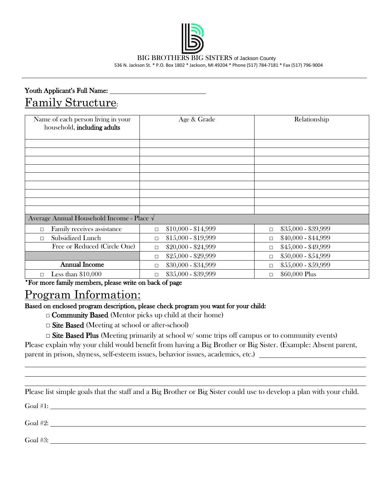

BIG BROTHERS BIG SISTERS of Jackson County 536 N. Jackson St. \* P.O. Box 1802 \* Jackson, MI 49204 \* Phone (517) 784-7181 \* Fax (517) 796-9004

## Youth Applicant's Full Name: Family Structure:

| Name of each person living in your<br>household, including adults                      | Age & Grade              | Relationship             |  |  |  |
|----------------------------------------------------------------------------------------|--------------------------|--------------------------|--|--|--|
|                                                                                        |                          |                          |  |  |  |
|                                                                                        |                          |                          |  |  |  |
|                                                                                        |                          |                          |  |  |  |
|                                                                                        |                          |                          |  |  |  |
|                                                                                        |                          |                          |  |  |  |
|                                                                                        |                          |                          |  |  |  |
|                                                                                        |                          |                          |  |  |  |
|                                                                                        |                          |                          |  |  |  |
|                                                                                        |                          |                          |  |  |  |
| Average Annual Household Income - Place √                                              |                          |                          |  |  |  |
| Family receives assistance<br>П                                                        | $$10,000 - $14,999$<br>П | $$35,000 - $39,999$<br>П |  |  |  |
| Subsidized Lunch<br>п                                                                  | \$15,000 - \$19,999<br>П | \$40,000 - \$44,999<br>П |  |  |  |
| Free or Reduced (Circle One)                                                           | \$20,000 - \$24,999<br>П | \$45,000 - \$49,999<br>П |  |  |  |
|                                                                                        | \$25,000 - \$29,999<br>П | \$50,000 - \$54,999<br>П |  |  |  |
| <b>Annual Income</b>                                                                   | \$30,000 - \$34,999<br>□ | \$55,000 - \$59,999<br>П |  |  |  |
| Less than $$10,000$<br>$\Box$<br>*For more family mombors places write on book of name | \$35,000 - \$39,999<br>П | \$60,000 Plus<br>□       |  |  |  |

\*For more family members, please write on back of page

## Program Information:

Based on enclosed program description, please check program you want for your child:

**□** Community Based (Mentor picks up child at their home)

□ Site Based (Meeting at school or after-school)

 $\Box$  Site Based Plus (Meeting primarily at school w/some trips off campus or to community events) Please explain why your child would benefit from having a Big Brother or Big Sister. (Example: Absent parent,

parent in prison, shyness, self-esteem issues, behavior issues, academics, etc.)

Please list simple goals that the staff and a Big Brother or Big Sister could use to develop a plan with your child.

Goal #1:

Goal #2:

Goal #3: